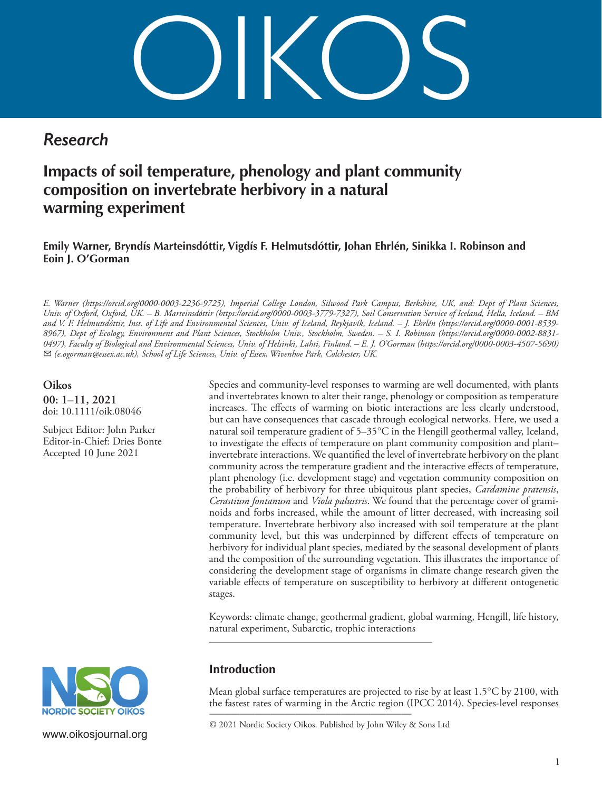OIKOS

# *Research*

# **Impacts of soil temperature, phenology and plant community composition on invertebrate herbivory in a natural warming experiment**

**Emily Warner, Bryndís Marteinsdóttir, Vigdís F. Helmutsdóttir, Johan Ehrlén, Sinikka I. Robinson and Eoin J. O'Gorman**

*E. Warner (https://orcid.org/0000-0003-2236-9725), Imperial College London, Silwood Park Campus, Berkshire, UK, and: Dept of Plant Sciences, Univ. of Oxford, Oxford, UK. – B. Marteinsdóttir (https://orcid.org/0000-0003-3779-7327), Soil Conservation Service of Iceland, Hella, Iceland. – BM and V. F. Helmutsdóttir, Inst. of Life and Environmental Sciences, Univ. of Iceland, Reykjavík, Iceland. – J. Ehrlén (https://orcid.org/0000-0001-8539- 8967), Dept of Ecology, Environment and Plant Sciences, Stockholm Univ., Stockholm, Sweden. – S. I. Robinson (https://orcid.org/0000-0002-8831- 0497), Faculty of Biological and Environmental Sciences, Univ. of Helsinki, Lahti, Finland. – E. J. O'Gorman (https://orcid.org/0000-0003-4507-5690)*  ✉ *(e.ogorman@essex.ac.uk), School of Life Sciences, Univ. of Essex, Wivenhoe Park, Colchester, UK.*

**Oikos**

**00: 1–11, 2021** doi: 10.1111/oik.08046

Subject Editor: John Parker Editor-in-Chief: Dries Bonte Accepted 10 June 2021



www.oikosjournal.org

Species and community-level responses to warming are well documented, with plants and invertebrates known to alter their range, phenology or composition as temperature increases. The effects of warming on biotic interactions are less clearly understood, but can have consequences that cascade through ecological networks. Here, we used a natural soil temperature gradient of 5–35°C in the Hengill geothermal valley, Iceland, to investigate the effects of temperature on plant community composition and plant– invertebrate interactions. We quantified the level of invertebrate herbivory on the plant community across the temperature gradient and the interactive effects of temperature, plant phenology (i.e. development stage) and vegetation community composition on the probability of herbivory for three ubiquitous plant species, *Cardamine pratensis*, *Cerastium fontanum* and *Viola palustris*. We found that the percentage cover of graminoids and forbs increased, while the amount of litter decreased, with increasing soil temperature. Invertebrate herbivory also increased with soil temperature at the plant community level, but this was underpinned by different effects of temperature on herbivory for individual plant species, mediated by the seasonal development of plants and the composition of the surrounding vegetation. This illustrates the importance of considering the development stage of organisms in climate change research given the variable effects of temperature on susceptibility to herbivory at different ontogenetic stages.

Keywords: climate change, geothermal gradient, global warming, Hengill, life history, natural experiment, Subarctic, trophic interactions

# **Introduction**

Mean global surface temperatures are projected to rise by at least 1.5°C by 2100, with the fastest rates of warming in the Arctic region (IPCC 2014). Species-level responses

© 2021 Nordic Society Oikos. Published by John Wiley & Sons Ltd

––––––––––––––––––––––––––––––––––––––––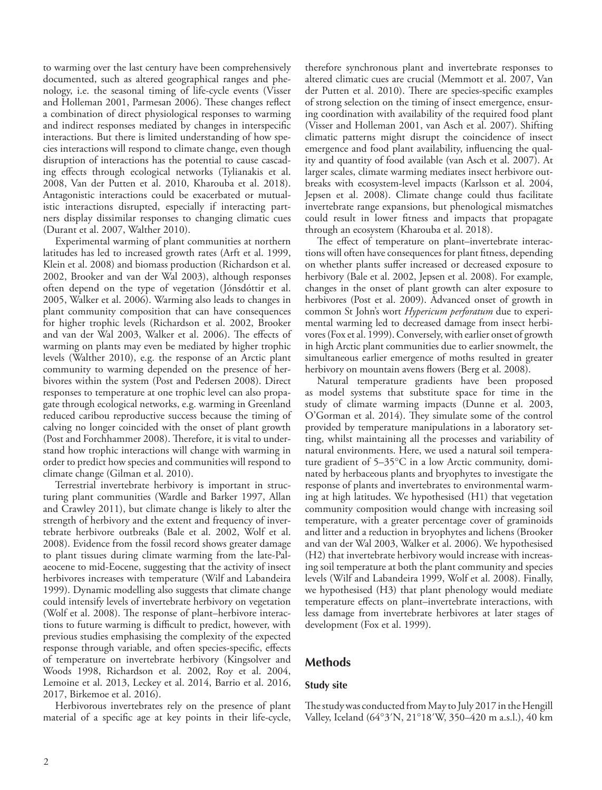to warming over the last century have been comprehensively documented, such as altered geographical ranges and phenology, i.e. the seasonal timing of life-cycle events (Visser and Holleman 2001, Parmesan 2006). These changes reflect a combination of direct physiological responses to warming and indirect responses mediated by changes in interspecific interactions. But there is limited understanding of how species interactions will respond to climate change, even though disruption of interactions has the potential to cause cascading effects through ecological networks (Tylianakis et al. 2008, Van der Putten et al. 2010, Kharouba et al. 2018). Antagonistic interactions could be exacerbated or mutualistic interactions disrupted, especially if interacting partners display dissimilar responses to changing climatic cues (Durant et al. 2007, Walther 2010).

Experimental warming of plant communities at northern latitudes has led to increased growth rates (Arft et al. 1999, Klein et al. 2008) and biomass production (Richardson et al. 2002, Brooker and van der Wal 2003), although responses often depend on the type of vegetation (Jónsdóttir et al. 2005, Walker et al. 2006). Warming also leads to changes in plant community composition that can have consequences for higher trophic levels (Richardson et al. 2002, Brooker and van der Wal 2003, Walker et al. 2006). The effects of warming on plants may even be mediated by higher trophic levels (Walther 2010), e.g. the response of an Arctic plant community to warming depended on the presence of herbivores within the system (Post and Pedersen 2008). Direct responses to temperature at one trophic level can also propagate through ecological networks, e.g. warming in Greenland reduced caribou reproductive success because the timing of calving no longer coincided with the onset of plant growth (Post and Forchhammer 2008). Therefore, it is vital to understand how trophic interactions will change with warming in order to predict how species and communities will respond to climate change (Gilman et al. 2010).

Terrestrial invertebrate herbivory is important in structuring plant communities (Wardle and Barker 1997, Allan and Crawley 2011), but climate change is likely to alter the strength of herbivory and the extent and frequency of invertebrate herbivore outbreaks (Bale et al. 2002, Wolf et al. 2008). Evidence from the fossil record shows greater damage to plant tissues during climate warming from the late-Palaeocene to mid-Eocene, suggesting that the activity of insect herbivores increases with temperature (Wilf and Labandeira 1999). Dynamic modelling also suggests that climate change could intensify levels of invertebrate herbivory on vegetation (Wolf et al. 2008). The response of plant–herbivore interactions to future warming is difficult to predict, however, with previous studies emphasising the complexity of the expected response through variable, and often species-specific, effects of temperature on invertebrate herbivory (Kingsolver and Woods 1998, Richardson et al. 2002, Roy et al. 2004, Lemoine et al. 2013, Leckey et al. 2014, Barrio et al. 2016, 2017, Birkemoe et al. 2016).

Herbivorous invertebrates rely on the presence of plant material of a specific age at key points in their life-cycle, therefore synchronous plant and invertebrate responses to altered climatic cues are crucial (Memmott et al. 2007, Van der Putten et al. 2010). There are species-specific examples of strong selection on the timing of insect emergence, ensuring coordination with availability of the required food plant (Visser and Holleman 2001, van Asch et al. 2007). Shifting climatic patterns might disrupt the coincidence of insect emergence and food plant availability, influencing the quality and quantity of food available (van Asch et al. 2007). At larger scales, climate warming mediates insect herbivore outbreaks with ecosystem-level impacts (Karlsson et al. 2004, Jepsen et al. 2008). Climate change could thus facilitate invertebrate range expansions, but phenological mismatches could result in lower fitness and impacts that propagate through an ecosystem (Kharouba et al. 2018).

The effect of temperature on plant–invertebrate interactions will often have consequences for plant fitness, depending on whether plants suffer increased or decreased exposure to herbivory (Bale et al. 2002, Jepsen et al. 2008). For example, changes in the onset of plant growth can alter exposure to herbivores (Post et al. 2009). Advanced onset of growth in common St John's wort *Hypericum perforatum* due to experimental warming led to decreased damage from insect herbivores (Fox et al. 1999). Conversely, with earlier onset of growth in high Arctic plant communities due to earlier snowmelt, the simultaneous earlier emergence of moths resulted in greater herbivory on mountain avens flowers (Berg et al. 2008).

Natural temperature gradients have been proposed as model systems that substitute space for time in the study of climate warming impacts (Dunne et al. 2003, O'Gorman et al. 2014). They simulate some of the control provided by temperature manipulations in a laboratory setting, whilst maintaining all the processes and variability of natural environments. Here, we used a natural soil temperature gradient of 5–35°C in a low Arctic community, dominated by herbaceous plants and bryophytes to investigate the response of plants and invertebrates to environmental warming at high latitudes. We hypothesised (H1) that vegetation community composition would change with increasing soil temperature, with a greater percentage cover of graminoids and litter and a reduction in bryophytes and lichens (Brooker and van der Wal 2003, Walker et al. 2006). We hypothesised (H2) that invertebrate herbivory would increase with increasing soil temperature at both the plant community and species levels (Wilf and Labandeira 1999, Wolf et al. 2008). Finally, we hypothesised (H3) that plant phenology would mediate temperature effects on plant–invertebrate interactions, with less damage from invertebrate herbivores at later stages of development (Fox et al. 1999).

# **Methods**

# **Study site**

The study was conducted from May to July 2017 in the Hengill Valley, Iceland (64°3′N, 21°18′W, 350–420 m a.s.l.), 40 km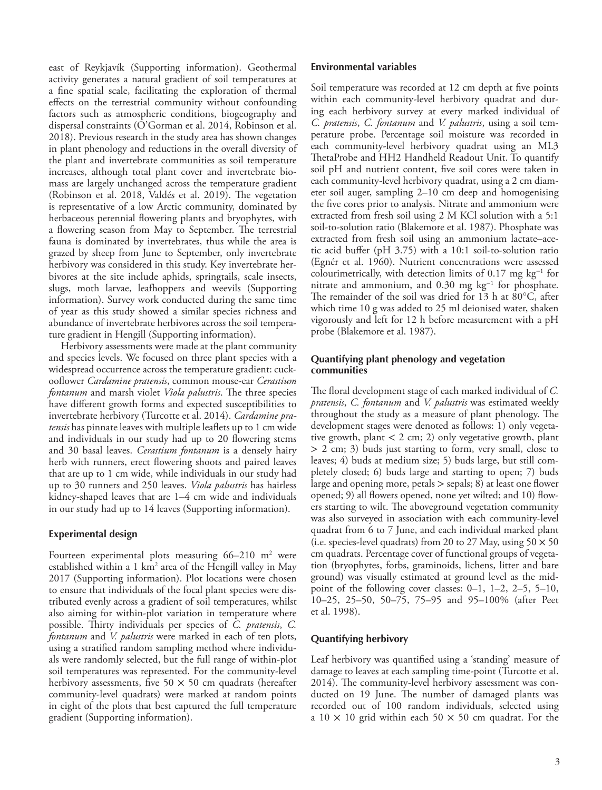east of Reykjavík (Supporting information). Geothermal activity generates a natural gradient of soil temperatures at a fine spatial scale, facilitating the exploration of thermal effects on the terrestrial community without confounding factors such as atmospheric conditions, biogeography and dispersal constraints (O'Gorman et al. 2014, Robinson et al. 2018). Previous research in the study area has shown changes in plant phenology and reductions in the overall diversity of the plant and invertebrate communities as soil temperature increases, although total plant cover and invertebrate biomass are largely unchanged across the temperature gradient (Robinson et al. 2018, Valdés et al. 2019). The vegetation is representative of a low Arctic community, dominated by herbaceous perennial flowering plants and bryophytes, with a flowering season from May to September. The terrestrial fauna is dominated by invertebrates, thus while the area is grazed by sheep from June to September, only invertebrate herbivory was considered in this study. Key invertebrate herbivores at the site include aphids, springtails, scale insects, slugs, moth larvae, leafhoppers and weevils (Supporting information). Survey work conducted during the same time of year as this study showed a similar species richness and abundance of invertebrate herbivores across the soil temperature gradient in Hengill (Supporting information).

Herbivory assessments were made at the plant community and species levels. We focused on three plant species with a widespread occurrence across the temperature gradient: cuckooflower *Cardamine pratensis*, common mouse-ear *Cerastium fontanum* and marsh violet *Viola palustris*. The three species have different growth forms and expected susceptibilities to invertebrate herbivory (Turcotte et al. 2014). *Cardamine pratensis* has pinnate leaves with multiple leaflets up to 1 cm wide and individuals in our study had up to 20 flowering stems and 30 basal leaves. *Cerastium fontanum* is a densely hairy herb with runners, erect flowering shoots and paired leaves that are up to 1 cm wide, while individuals in our study had up to 30 runners and 250 leaves. *Viola palustris* has hairless kidney-shaped leaves that are 1–4 cm wide and individuals in our study had up to 14 leaves (Supporting information).

### **Experimental design**

Fourteen experimental plots measuring  $66-210$  m<sup>2</sup> were established within a 1 km<sup>2</sup> area of the Hengill valley in May 2017 (Supporting information). Plot locations were chosen to ensure that individuals of the focal plant species were distributed evenly across a gradient of soil temperatures, whilst also aiming for within-plot variation in temperature where possible. Thirty individuals per species of *C. pratensis*, *C. fontanum* and *V. palustris* were marked in each of ten plots, using a stratified random sampling method where individuals were randomly selected, but the full range of within-plot soil temperatures was represented. For the community-level herbivory assessments, five 50  $\times$  50 cm quadrats (hereafter community-level quadrats) were marked at random points in eight of the plots that best captured the full temperature gradient (Supporting information).

### **Environmental variables**

Soil temperature was recorded at 12 cm depth at five points within each community-level herbivory quadrat and during each herbivory survey at every marked individual of *C. pratensis*, *C. fontanum* and *V. palustris*, using a soil temperature probe. Percentage soil moisture was recorded in each community-level herbivory quadrat using an ML3 ThetaProbe and HH2 Handheld Readout Unit. To quantify soil pH and nutrient content, five soil cores were taken in each community-level herbivory quadrat, using a 2 cm diameter soil auger, sampling 2–10 cm deep and homogenising the five cores prior to analysis. Nitrate and ammonium were extracted from fresh soil using 2 M KCl solution with a 5:1 soil-to-solution ratio (Blakemore et al. 1987). Phosphate was extracted from fresh soil using an ammonium lactate–acetic acid buffer (pH 3.75) with a 10:1 soil-to-solution ratio (Egnér et al. 1960). Nutrient concentrations were assessed colourimetrically, with detection limits of 0.17 mg kg<sup>−</sup><sup>1</sup> for nitrate and ammonium, and 0.30 mg kg<sup>-1</sup> for phosphate. The remainder of the soil was dried for 13 h at 80°C, after which time 10 g was added to 25 ml deionised water, shaken vigorously and left for 12 h before measurement with a pH probe (Blakemore et al. 1987).

# **Quantifying plant phenology and vegetation communities**

The floral development stage of each marked individual of *C. pratensis*, *C. fontanum* and *V. palustris* was estimated weekly throughout the study as a measure of plant phenology. The development stages were denoted as follows: 1) only vegetative growth, plant  $< 2$  cm; 2) only vegetative growth, plant > 2 cm; 3) buds just starting to form, very small, close to leaves; 4) buds at medium size; 5) buds large, but still completely closed; 6) buds large and starting to open; 7) buds large and opening more, petals  $>$  sepals; 8) at least one flower opened; 9) all flowers opened, none yet wilted; and 10) flowers starting to wilt. The aboveground vegetation community was also surveyed in association with each community-level quadrat from 6 to 7 June, and each individual marked plant (i.e. species-level quadrats) from 20 to 27 May, using  $50 \times 50$ cm quadrats. Percentage cover of functional groups of vegetation (bryophytes, forbs, graminoids, lichens, litter and bare ground) was visually estimated at ground level as the midpoint of the following cover classes: 0–1, 1–2, 2–5, 5–10, 10–25, 25–50, 50–75, 75–95 and 95–100% (after Peet et al. 1998).

# **Quantifying herbivory**

Leaf herbivory was quantified using a 'standing' measure of damage to leaves at each sampling time-point (Turcotte et al. 2014). The community-level herbivory assessment was conducted on 19 June. The number of damaged plants was recorded out of 100 random individuals, selected using a  $10 \times 10$  grid within each  $50 \times 50$  cm quadrat. For the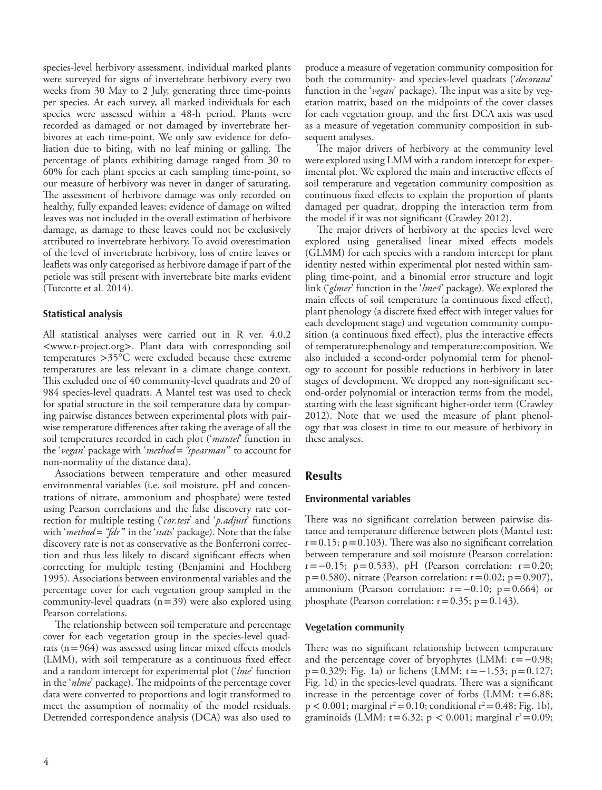species-level herbivory assessment, individual marked plants were surveyed for signs of invertebrate herbivory every two weeks from 30 May to 2 July, generating three time-points per species. At each survey, all marked individuals for each species were assessed within a 48-h period. Plants were recorded as damaged or not damaged by invertebrate herbivores at each time-point. We only saw evidence for defoliation due to biting, with no leaf mining or galling. The percentage of plants exhibiting damage ranged from 30 to 60% for each plant species at each sampling time-point, so our measure of herbivory was never in danger of saturating. The assessment of herbivore damage was only recorded on healthy, fully expanded leaves; evidence of damage on wilted leaves was not included in the overall estimation of herbivore damage, as damage to these leaves could not be exclusively attributed to invertebrate herbivory. To avoid overestimation of the level of invertebrate herbivory, loss of entire leaves or leaflets was only categorised as herbivore damage if part of the petiole was still present with invertebrate bite marks evident (Turcotte et al. 2014).

#### **Statistical analysis**

All statistical analyses were carried out in R ver. 4.0.2 <www.r-project.org>. Plant data with corresponding soil temperatures >35°C were excluded because these extreme temperatures are less relevant in a climate change context. This excluded one of 40 community-level quadrats and 20 of 984 species-level quadrats. A Mantel test was used to check for spatial structure in the soil temperature data by comparing pairwise distances between experimental plots with pairwise temperature differences after taking the average of all the soil temperatures recorded in each plot ('*mantel*' function in the '*vegan*' package with '*method="spearman"*' to account for non-normality of the distance data).

Associations between temperature and other measured environmental variables (i.e. soil moisture, pH and concentrations of nitrate, ammonium and phosphate) were tested using Pearson correlations and the false discovery rate correction for multiple testing ('*cor.test*' and '*p.adjust*' functions with '*method="fdr"*' in the '*stats*' package). Note that the false discovery rate is not as conservative as the Bonferroni correction and thus less likely to discard significant effects when correcting for multiple testing (Benjamini and Hochberg 1995). Associations between environmental variables and the percentage cover for each vegetation group sampled in the community-level quadrats  $(n=39)$  were also explored using Pearson correlations.

The relationship between soil temperature and percentage cover for each vegetation group in the species-level quadrats (n=964) was assessed using linear mixed effects models (LMM), with soil temperature as a continuous fixed effect and a random intercept for experimental plot ('*lme*' function in the '*nlme*' package). The midpoints of the percentage cover data were converted to proportions and logit transformed to meet the assumption of normality of the model residuals. Detrended correspondence analysis (DCA) was also used to

produce a measure of vegetation community composition for both the community- and species-level quadrats ('*decorana*' function in the '*vegan*' package). The input was a site by vegetation matrix, based on the midpoints of the cover classes for each vegetation group, and the first DCA axis was used as a measure of vegetation community composition in subsequent analyses.

The major drivers of herbivory at the community level were explored using LMM with a random intercept for experimental plot. We explored the main and interactive effects of soil temperature and vegetation community composition as continuous fixed effects to explain the proportion of plants damaged per quadrat, dropping the interaction term from the model if it was not significant (Crawley 2012).

The major drivers of herbivory at the species level were explored using generalised linear mixed effects models (GLMM) for each species with a random intercept for plant identity nested within experimental plot nested within sampling time-point, and a binomial error structure and logit link ('*glmer*' function in the '*lme4*' package). We explored the main effects of soil temperature (a continuous fixed effect), plant phenology (a discrete fixed effect with integer values for each development stage) and vegetation community composition (a continuous fixed effect), plus the interactive effects of temperature:phenology and temperature:composition. We also included a second-order polynomial term for phenology to account for possible reductions in herbivory in later stages of development. We dropped any non-significant second-order polynomial or interaction terms from the model, starting with the least significant higher-order term (Crawley 2012). Note that we used the measure of plant phenology that was closest in time to our measure of herbivory in these analyses.

# **Results**

#### **Environmental variables**

There was no significant correlation between pairwise distance and temperature difference between plots (Mantel test:  $r=0.15$ ;  $p=0.103$ ). There was also no significant correlation between temperature and soil moisture (Pearson correlation: r=−0.15; p=0.533), pH (Pearson correlation: r=0.20;  $p=0.580$ ), nitrate (Pearson correlation:  $r=0.02$ ;  $p=0.907$ ), ammonium (Pearson correlation: r=−0.10; p=0.664) or phosphate (Pearson correlation:  $r = 0.35$ ;  $p = 0.143$ ).

#### **Vegetation community**

There was no significant relationship between temperature and the percentage cover of bryophytes (LMM:  $t=-0.98$ ; p=0.329; Fig. 1a) or lichens (LMM: t=−1.53; p=0.127; Fig. 1d) in the species-level quadrats. There was a significant increase in the percentage cover of forbs (LMM:  $t=6.88$ ;  $p < 0.001$ ; marginal  $r^2 = 0.10$ ; conditional  $r^2 = 0.48$ ; Fig. 1b), graminoids (LMM:  $t = 6.32$ ;  $p < 0.001$ ; marginal  $r^2 = 0.09$ ;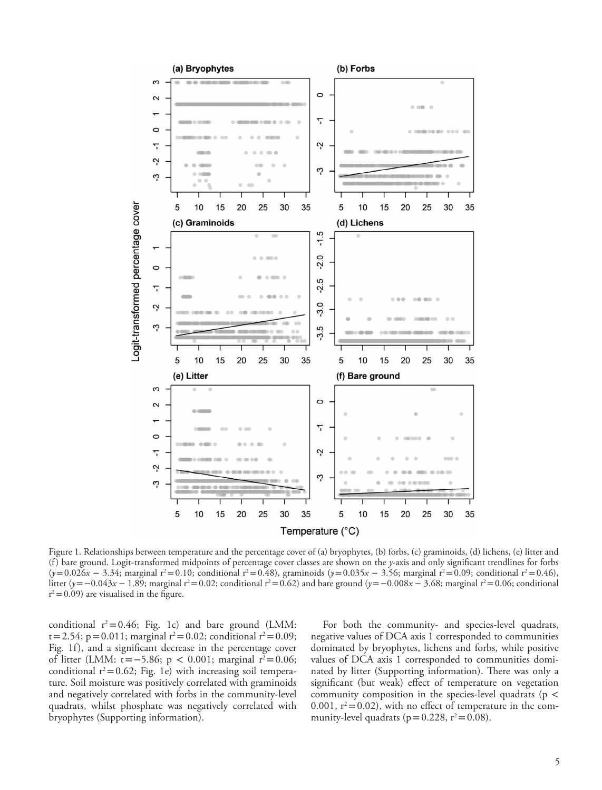

Figure 1. Relationships between temperature and the percentage cover of (a) bryophytes, (b) forbs, (c) graminoids, (d) lichens, (e) litter and (f) bare ground. Logit-transformed midpoints of percentage cover classes are shown on the *y*-axis and only significant trendlines for forbs  $(y=0.026x - 3.34$ ; marginal r<sup>2</sup>=0.10; conditional r<sup>2</sup>=0.48), graminoids  $(y=0.035x - 3.56$ ; marginal r<sup>2</sup>=0.09; conditional r<sup>2</sup>=0.46), litter ( $y = -0.043x - 1.89$ ; marginal r<sup>2</sup> = 0.02; conditional r<sup>2</sup> = 0.62) and bare ground ( $y = -0.008x - 3.68$ ; marginal r<sup>2</sup> = 0.06; conditional  $r^2$  = 0.09) are visualised in the figure.

conditional  $r^2 = 0.46$ ; Fig. 1c) and bare ground (LMM:  $t=2.54$ ; p=0.011; marginal r<sup>2</sup>=0.02; conditional r<sup>2</sup>=0.09; Fig. 1f), and a significant decrease in the percentage cover of litter (LMM: t = −5.86; p < 0.001; marginal  $r^2$  = 0.06; conditional  $r^2 = 0.62$ ; Fig. 1e) with increasing soil temperature. Soil moisture was positively correlated with graminoids and negatively correlated with forbs in the community-level quadrats, whilst phosphate was negatively correlated with bryophytes (Supporting information).

For both the community- and species-level quadrats, negative values of DCA axis 1 corresponded to communities dominated by bryophytes, lichens and forbs, while positive values of DCA axis 1 corresponded to communities dominated by litter (Supporting information). There was only a significant (but weak) effect of temperature on vegetation community composition in the species-level quadrats ( $p <$ 0.001,  $r^2$  = 0.02), with no effect of temperature in the community-level quadrats ( $p=0.228$ ,  $r^2=0.08$ ).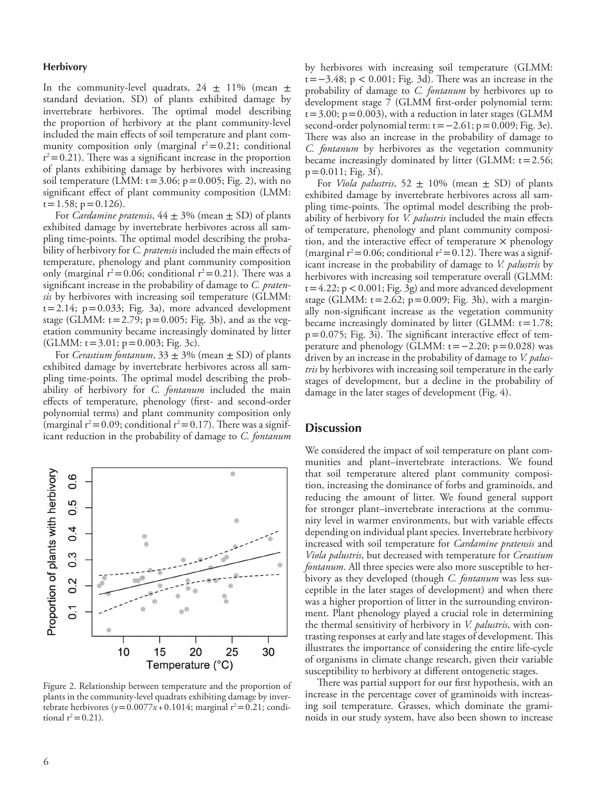#### **Herbivory**

In the community-level quadrats,  $24 \pm 11\%$  (mean  $\pm$ standard deviation, SD) of plants exhibited damage by invertebrate herbivores. The optimal model describing the proportion of herbivory at the plant community-level included the main effects of soil temperature and plant community composition only (marginal  $r^2 = 0.21$ ; conditional  $r^2$  = 0.21). There was a significant increase in the proportion of plants exhibiting damage by herbivores with increasing soil temperature (LMM:  $t=3.06$ ;  $p=0.005$ ; Fig. 2), with no significant effect of plant community composition (LMM:  $t=1.58; p=0.126$ .

For *Cardamine pratensis*,  $44 \pm 3\%$  (mean  $\pm$  SD) of plants exhibited damage by invertebrate herbivores across all sampling time-points. The optimal model describing the probability of herbivory for *C. pratensis* included the main effects of temperature, phenology and plant community composition only (marginal  $r^2 = 0.06$ ; conditional  $r^2 = 0.21$ ). There was a significant increase in the probability of damage to *C. pratensis* by herbivores with increasing soil temperature (GLMM:  $t=2.14$ ;  $p=0.033$ ; Fig. 3a), more advanced development stage (GLMM:  $t=2.79$ ;  $p=0.005$ ; Fig. 3b), and as the vegetation community became increasingly dominated by litter (GLMM:  $t = 3.01$ ;  $p = 0.003$ ; Fig. 3c).

For *Cerastium fontanum*,  $33 \pm 3\%$  (mean  $\pm$  SD) of plants exhibited damage by invertebrate herbivores across all sampling time-points. The optimal model describing the probability of herbivory for *C. fontanum* included the main effects of temperature, phenology (first- and second-order polynomial terms) and plant community composition only (marginal  $r^2 = 0.09$ ; conditional  $r^2 = 0.17$ ). There was a significant reduction in the probability of damage to *C. fontanum*



Figure 2. Relationship between temperature and the proportion of plants in the community-level quadrats exhibiting damage by invertebrate herbivores ( $y=0.0077x+0.1014$ ; marginal  $r^2=0.21$ ; conditional  $r^2$  = 0.21).

by herbivores with increasing soil temperature (GLMM: t=−3.48; p < 0.001; Fig. 3d). There was an increase in the probability of damage to *C. fontanum* by herbivores up to development stage 7 (GLMM first-order polynomial term:  $t=3.00; p=0.003$ ), with a reduction in later stages (GLMM second-order polynomial term:  $t=-2.61$ ;  $p=0.009$ ; Fig. 3e). There was also an increase in the probability of damage to *C. fontanum* by herbivores as the vegetation community became increasingly dominated by litter (GLMM:  $t = 2.56$ ;  $p=0.011$ ; Fig. 3f).

For *Viola palustris*, 52  $\pm$  10% (mean  $\pm$  SD) of plants exhibited damage by invertebrate herbivores across all sampling time-points. The optimal model describing the probability of herbivory for *V. palustris* included the main effects of temperature, phenology and plant community composition, and the interactive effect of temperature  $\times$  phenology (marginal  $r^2 = 0.06$ ; conditional  $r^2 = 0.12$ ). There was a significant increase in the probability of damage to *V. palustris* by herbivores with increasing soil temperature overall (GLMM:  $t=4.22$ ;  $p < 0.001$ ; Fig. 3g) and more advanced development stage (GLMM:  $t = 2.62$ ;  $p = 0.009$ ; Fig. 3h), with a marginally non-significant increase as the vegetation community became increasingly dominated by litter (GLMM:  $t = 1.78$ ;  $p=0.075$ ; Fig. 3i). The significant interactive effect of temperature and phenology ( $GLMM$ : t = −2.20; p = 0.028) was driven by an increase in the probability of damage to *V. palustris* by herbivores with increasing soil temperature in the early stages of development, but a decline in the probability of damage in the later stages of development (Fig. 4).

# **Discussion**

We considered the impact of soil temperature on plant communities and plant–invertebrate interactions. We found that soil temperature altered plant community composition, increasing the dominance of forbs and graminoids, and reducing the amount of litter. We found general support for stronger plant–invertebrate interactions at the community level in warmer environments, but with variable effects depending on individual plant species. Invertebrate herbivory increased with soil temperature for *Cardamine pratensis* and *Viola palustris*, but decreased with temperature for *Cerastium fontanum*. All three species were also more susceptible to herbivory as they developed (though *C. fontanum* was less susceptible in the later stages of development) and when there was a higher proportion of litter in the surrounding environment. Plant phenology played a crucial role in determining the thermal sensitivity of herbivory in *V. palustris*, with contrasting responses at early and late stages of development. This illustrates the importance of considering the entire life-cycle of organisms in climate change research, given their variable susceptibility to herbivory at different ontogenetic stages.

There was partial support for our first hypothesis, with an increase in the percentage cover of graminoids with increasing soil temperature. Grasses, which dominate the graminoids in our study system, have also been shown to increase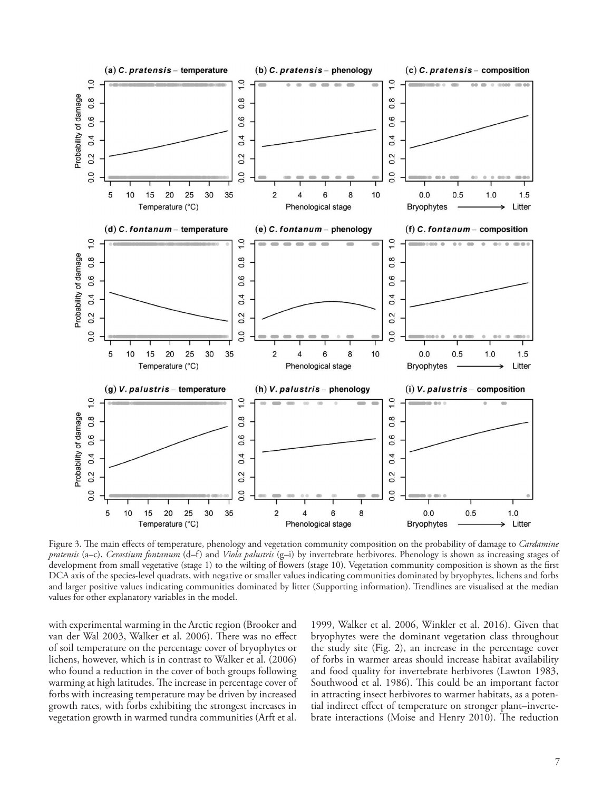

Figure 3. The main effects of temperature, phenology and vegetation community composition on the probability of damage to *Cardamine pratensis* (a–c), *Cerastium fontanum* (d–f) and *Viola palustris* (g–i) by invertebrate herbivores. Phenology is shown as increasing stages of development from small vegetative (stage 1) to the wilting of flowers (stage 10). Vegetation community composition is shown as the first DCA axis of the species-level quadrats, with negative or smaller values indicating communities dominated by bryophytes, lichens and forbs and larger positive values indicating communities dominated by litter (Supporting information). Trendlines are visualised at the median values for other explanatory variables in the model.

with experimental warming in the Arctic region (Brooker and van der Wal 2003, Walker et al. 2006). There was no effect of soil temperature on the percentage cover of bryophytes or lichens, however, which is in contrast to Walker et al. (2006) who found a reduction in the cover of both groups following warming at high latitudes. The increase in percentage cover of forbs with increasing temperature may be driven by increased growth rates, with forbs exhibiting the strongest increases in vegetation growth in warmed tundra communities (Arft et al. 1999, Walker et al. 2006, Winkler et al. 2016). Given that bryophytes were the dominant vegetation class throughout the study site (Fig. 2), an increase in the percentage cover of forbs in warmer areas should increase habitat availability and food quality for invertebrate herbivores (Lawton 1983, Southwood et al. 1986). This could be an important factor in attracting insect herbivores to warmer habitats, as a potential indirect effect of temperature on stronger plant–invertebrate interactions (Moise and Henry 2010). The reduction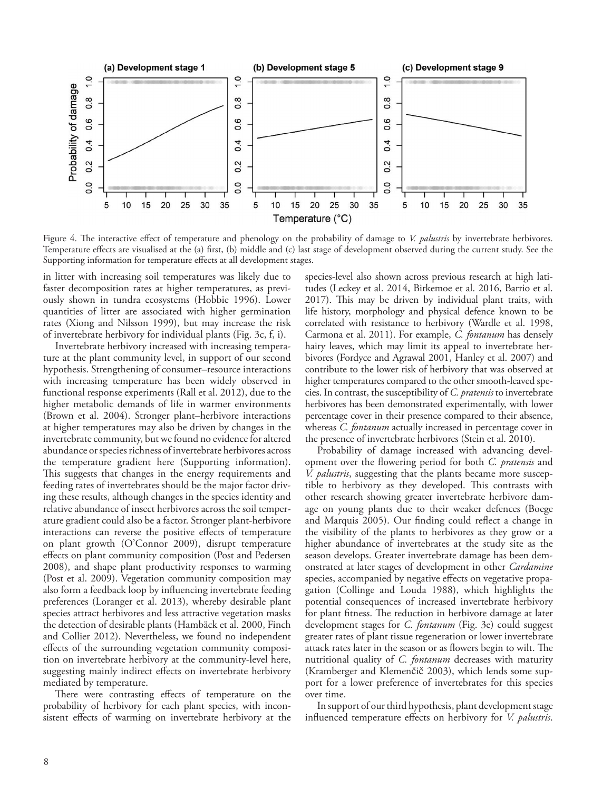

Figure 4. The interactive effect of temperature and phenology on the probability of damage to *V. palustris* by invertebrate herbivores. Temperature effects are visualised at the (a) first, (b) middle and (c) last stage of development observed during the current study. See the Supporting information for temperature effects at all development stages.

in litter with increasing soil temperatures was likely due to faster decomposition rates at higher temperatures, as previously shown in tundra ecosystems (Hobbie 1996). Lower quantities of litter are associated with higher germination rates (Xiong and Nilsson 1999), but may increase the risk of invertebrate herbivory for individual plants (Fig. 3c, f, i).

Invertebrate herbivory increased with increasing temperature at the plant community level, in support of our second hypothesis. Strengthening of consumer–resource interactions with increasing temperature has been widely observed in functional response experiments (Rall et al. 2012), due to the higher metabolic demands of life in warmer environments (Brown et al. 2004). Stronger plant–herbivore interactions at higher temperatures may also be driven by changes in the invertebrate community, but we found no evidence for altered abundance or species richness of invertebrate herbivores across the temperature gradient here (Supporting information). This suggests that changes in the energy requirements and feeding rates of invertebrates should be the major factor driving these results, although changes in the species identity and relative abundance of insect herbivores across the soil temperature gradient could also be a factor. Stronger plant-herbivore interactions can reverse the positive effects of temperature on plant growth (O'Connor 2009), disrupt temperature effects on plant community composition (Post and Pedersen 2008), and shape plant productivity responses to warming (Post et al. 2009). Vegetation community composition may also form a feedback loop by influencing invertebrate feeding preferences (Loranger et al. 2013), whereby desirable plant species attract herbivores and less attractive vegetation masks the detection of desirable plants (Hambäck et al. 2000, Finch and Collier 2012). Nevertheless, we found no independent effects of the surrounding vegetation community composition on invertebrate herbivory at the community-level here, suggesting mainly indirect effects on invertebrate herbivory mediated by temperature.

There were contrasting effects of temperature on the probability of herbivory for each plant species, with inconsistent effects of warming on invertebrate herbivory at the

species-level also shown across previous research at high latitudes (Leckey et al. 2014, Birkemoe et al. 2016, Barrio et al. 2017). This may be driven by individual plant traits, with life history, morphology and physical defence known to be correlated with resistance to herbivory (Wardle et al. 1998, Carmona et al. 2011). For example, *C. fontanum* has densely hairy leaves, which may limit its appeal to invertebrate herbivores (Fordyce and Agrawal 2001, Hanley et al. 2007) and contribute to the lower risk of herbivory that was observed at higher temperatures compared to the other smooth-leaved species. In contrast, the susceptibility of *C. pratensis* to invertebrate herbivores has been demonstrated experimentally, with lower percentage cover in their presence compared to their absence, whereas *C. fontanum* actually increased in percentage cover in the presence of invertebrate herbivores (Stein et al. 2010).

Probability of damage increased with advancing development over the flowering period for both *C. pratensis* and *V. palustris*, suggesting that the plants became more susceptible to herbivory as they developed. This contrasts with other research showing greater invertebrate herbivore damage on young plants due to their weaker defences (Boege and Marquis 2005). Our finding could reflect a change in the visibility of the plants to herbivores as they grow or a higher abundance of invertebrates at the study site as the season develops. Greater invertebrate damage has been demonstrated at later stages of development in other *Cardamine* species, accompanied by negative effects on vegetative propagation (Collinge and Louda 1988), which highlights the potential consequences of increased invertebrate herbivory for plant fitness. The reduction in herbivore damage at later development stages for *C. fontanum* (Fig. 3e) could suggest greater rates of plant tissue regeneration or lower invertebrate attack rates later in the season or as flowers begin to wilt. The nutritional quality of *C. fontanum* decreases with maturity (Kramberger and Klemenčič 2003), which lends some support for a lower preference of invertebrates for this species over time.

In support of our third hypothesis, plant development stage influenced temperature effects on herbivory for *V. palustris*.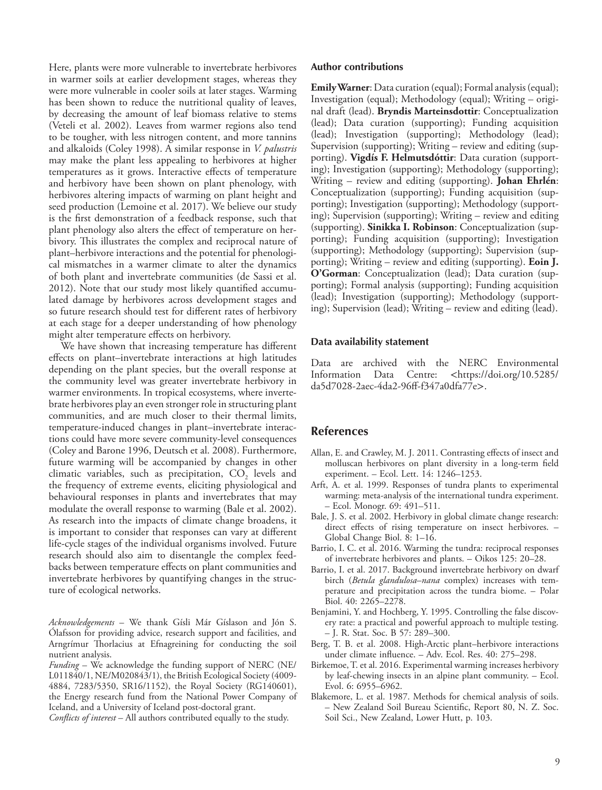Here, plants were more vulnerable to invertebrate herbivores in warmer soils at earlier development stages, whereas they were more vulnerable in cooler soils at later stages. Warming has been shown to reduce the nutritional quality of leaves, by decreasing the amount of leaf biomass relative to stems (Veteli et al. 2002). Leaves from warmer regions also tend to be tougher, with less nitrogen content, and more tannins and alkaloids (Coley 1998). A similar response in *V. palustris* may make the plant less appealing to herbivores at higher temperatures as it grows. Interactive effects of temperature and herbivory have been shown on plant phenology, with herbivores altering impacts of warming on plant height and seed production (Lemoine et al. 2017). We believe our study is the first demonstration of a feedback response, such that plant phenology also alters the effect of temperature on herbivory. This illustrates the complex and reciprocal nature of plant–herbivore interactions and the potential for phenological mismatches in a warmer climate to alter the dynamics of both plant and invertebrate communities (de Sassi et al. 2012). Note that our study most likely quantified accumulated damage by herbivores across development stages and so future research should test for different rates of herbivory at each stage for a deeper understanding of how phenology might alter temperature effects on herbivory.

We have shown that increasing temperature has different effects on plant–invertebrate interactions at high latitudes depending on the plant species, but the overall response at the community level was greater invertebrate herbivory in warmer environments. In tropical ecosystems, where invertebrate herbivores play an even stronger role in structuring plant communities, and are much closer to their thermal limits, temperature-induced changes in plant–invertebrate interactions could have more severe community-level consequences (Coley and Barone 1996, Deutsch et al. 2008). Furthermore, future warming will be accompanied by changes in other climatic variables, such as precipitation,  $CO<sub>2</sub>$  levels and the frequency of extreme events, eliciting physiological and behavioural responses in plants and invertebrates that may modulate the overall response to warming (Bale et al. 2002). As research into the impacts of climate change broadens, it is important to consider that responses can vary at different life-cycle stages of the individual organisms involved. Future research should also aim to disentangle the complex feedbacks between temperature effects on plant communities and invertebrate herbivores by quantifying changes in the structure of ecological networks.

*Acknowledgements* – We thank Gísli Már Gíslason and Jón S. Ólafsson for providing advice, research support and facilities, and Arngrímur Thorlacius at Efnagreining for conducting the soil nutrient analysis.

*Funding* – We acknowledge the funding support of NERC (NE/ L011840/1, NE/M020843/1), the British Ecological Society (4009- 4884, 7283/5350, SR16/1152), the Royal Society (RG140601), the Energy research fund from the National Power Company of Iceland, and a University of Iceland post-doctoral grant.

*Conflicts of interest* – All authors contributed equally to the study.

#### **Author contributions**

**Emily Warner**: Data curation (equal); Formal analysis (equal); Investigation (equal); Methodology (equal); Writing – original draft (lead). **Bryndis Marteinsdottir**: Conceptualization (lead); Data curation (supporting); Funding acquisition (lead); Investigation (supporting); Methodology (lead); Supervision (supporting); Writing – review and editing (supporting). **Vigdís F. Helmutsdóttir**: Data curation (supporting); Investigation (supporting); Methodology (supporting); Writing – review and editing (supporting). **Johan Ehrlén**: Conceptualization (supporting); Funding acquisition (supporting); Investigation (supporting); Methodology (supporting); Supervision (supporting); Writing – review and editing (supporting). **Sinikka I. Robinson**: Conceptualization (supporting); Funding acquisition (supporting); Investigation (supporting); Methodology (supporting); Supervision (supporting); Writing – review and editing (supporting). **Eoin J. O'Gorman**: Conceptualization (lead); Data curation (supporting); Formal analysis (supporting); Funding acquisition (lead); Investigation (supporting); Methodology (supporting); Supervision (lead); Writing – review and editing (lead).

#### **Data availability statement**

Data are archived with the NERC Environmental Information Data Centre: <https://doi.org/10.5285/ da5d7028-2aec-4da2-96ff-f347a0dfa77e>.

# **References**

- Allan, E. and Crawley, M. J. 2011. Contrasting effects of insect and molluscan herbivores on plant diversity in a long-term field experiment. – Ecol. Lett. 14: 1246–1253.
- Arft, A. et al. 1999. Responses of tundra plants to experimental warming: meta-analysis of the international tundra experiment. – Ecol. Monogr. 69: 491–511.
- Bale, J. S. et al. 2002. Herbivory in global climate change research: direct effects of rising temperature on insect herbivores. – Global Change Biol. 8: 1–16.
- Barrio, I. C. et al. 2016. Warming the tundra: reciprocal responses of invertebrate herbivores and plants. – Oikos 125: 20–28.
- Barrio, I. et al. 2017. Background invertebrate herbivory on dwarf birch (*Betula glandulosa*–*nana* complex) increases with temperature and precipitation across the tundra biome. – Polar Biol. 40: 2265–2278.
- Benjamini, Y. and Hochberg, Y. 1995. Controlling the false discovery rate: a practical and powerful approach to multiple testing. – J. R. Stat. Soc. B 57: 289–300.
- Berg, T. B. et al. 2008. High-Arctic plant–herbivore interactions under climate influence. – Adv. Ecol. Res. 40: 275–298.
- Birkemoe, T. et al. 2016. Experimental warming increases herbivory by leaf-chewing insects in an alpine plant community. – Ecol. Evol. 6: 6955–6962.
- Blakemore, L. et al. 1987. Methods for chemical analysis of soils. – New Zealand Soil Bureau Scientific, Report 80, N. Z. Soc. Soil Sci., New Zealand, Lower Hutt, p. 103.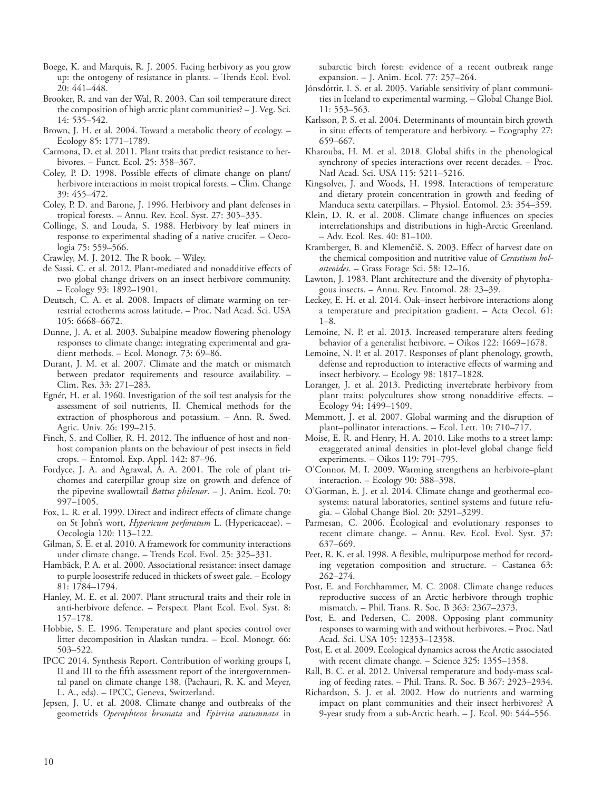- Boege, K. and Marquis, R. J. 2005. Facing herbivory as you grow up: the ontogeny of resistance in plants. – Trends Ecol. Evol. 20: 441–448.
- Brooker, R. and van der Wal, R. 2003. Can soil temperature direct the composition of high arctic plant communities? – J. Veg. Sci. 14: 535–542.
- Brown, J. H. et al. 2004. Toward a metabolic theory of ecology. Ecology 85: 1771–1789.
- Carmona, D. et al. 2011. Plant traits that predict resistance to herbivores. – Funct. Ecol. 25: 358–367.
- Coley, P. D. 1998. Possible effects of climate change on plant/ herbivore interactions in moist tropical forests. – Clim. Change 39: 455–472.
- Coley, P. D. and Barone, J. 1996. Herbivory and plant defenses in tropical forests. – Annu. Rev. Ecol. Syst. 27: 305–335.
- Collinge, S. and Louda, S. 1988. Herbivory by leaf miners in response to experimental shading of a native crucifer. – Oecologia 75: 559–566.
- Crawley, M. J. 2012. The R book. Wiley.
- de Sassi, C. et al. 2012. Plant-mediated and nonadditive effects of two global change drivers on an insect herbivore community. – Ecology 93: 1892–1901.
- Deutsch, C. A. et al. 2008. Impacts of climate warming on terrestrial ectotherms across latitude. – Proc. Natl Acad. Sci. USA 105: 6668–6672.
- Dunne, J. A. et al. 2003. Subalpine meadow flowering phenology responses to climate change: integrating experimental and gradient methods. – Ecol. Monogr. 73: 69–86.
- Durant, J. M. et al. 2007. Climate and the match or mismatch between predator requirements and resource availability. – Clim. Res. 33: 271–283.
- Egnér, H. et al. 1960. Investigation of the soil test analysis for the assessment of soil nutrients, II. Chemical methods for the extraction of phosphorous and potassium. – Ann. R. Swed. Agric. Univ. 26: 199–215.
- Finch, S. and Collier, R. H. 2012. The influence of host and nonhost companion plants on the behaviour of pest insects in field crops. – Entomol. Exp. Appl. 142: 87–96.
- Fordyce, J. A. and Agrawal, A. A. 2001. The role of plant trichomes and caterpillar group size on growth and defence of the pipevine swallowtail *Battus philenor*. – J. Anim. Ecol. 70: 997–1005.
- Fox, L. R. et al. 1999. Direct and indirect effects of climate change on St John's wort, *Hypericum perforatum* L. (Hypericaceae). – Oecologia 120: 113–122.
- Gilman, S. E. et al. 2010. A framework for community interactions under climate change. – Trends Ecol. Evol. 25: 325–331.
- Hambäck, P. A. et al. 2000. Associational resistance: insect damage to purple loosestrife reduced in thickets of sweet gale. – Ecology 81: 1784–1794.
- Hanley, M. E. et al. 2007. Plant structural traits and their role in anti-herbivore defence. – Perspect. Plant Ecol. Evol. Syst. 8: 157–178.
- Hobbie, S. E. 1996. Temperature and plant species control over litter decomposition in Alaskan tundra. – Ecol. Monogr. 66: 503–522.
- IPCC 2014. Synthesis Report. Contribution of working groups I, II and III to the fifth assessment report of the intergovernmental panel on climate change 138. (Pachauri, R. K. and Meyer, L. A., eds). – IPCC, Geneva, Switzerland.
- Jepsen, J. U. et al. 2008. Climate change and outbreaks of the geometrids *Operophtera brumata* and *Epirrita autumnata* in

subarctic birch forest: evidence of a recent outbreak range expansion. – J. Anim. Ecol. 77: 257–264.

- Jónsdóttir, I. S. et al. 2005. Variable sensitivity of plant communities in Iceland to experimental warming. – Global Change Biol. 11: 553–563.
- Karlsson, P. S. et al. 2004. Determinants of mountain birch growth in situ: effects of temperature and herbivory. – Ecography 27: 659–667.
- Kharouba, H. M. et al. 2018. Global shifts in the phenological synchrony of species interactions over recent decades. – Proc. Natl Acad. Sci. USA 115: 5211–5216.
- Kingsolver, J. and Woods, H. 1998. Interactions of temperature and dietary protein concentration in growth and feeding of Manduca sexta caterpillars. – Physiol. Entomol. 23: 354–359.
- Klein, D. R. et al. 2008. Climate change influences on species interrelationships and distributions in high-Arctic Greenland. – Adv. Ecol. Res. 40: 81–100.
- Kramberger, B. and Klemenčič, S. 2003. Effect of harvest date on the chemical composition and nutritive value of *Cerastium holosteoides*. – Grass Forage Sci. 58: 12–16.
- Lawton, J. 1983. Plant architecture and the diversity of phytophagous insects. – Annu. Rev. Entomol. 28: 23–39.
- Leckey, E. H. et al. 2014. Oak–insect herbivore interactions along a temperature and precipitation gradient. – Acta Oecol. 61: 1–8.
- Lemoine, N. P. et al. 2013. Increased temperature alters feeding behavior of a generalist herbivore. – Oikos 122: 1669–1678.
- Lemoine, N. P. et al. 2017. Responses of plant phenology, growth, defense and reproduction to interactive effects of warming and insect herbivory. – Ecology 98: 1817–1828.
- Loranger, J. et al. 2013. Predicting invertebrate herbivory from plant traits: polycultures show strong nonadditive effects. – Ecology 94: 1499–1509.
- Memmott, J. et al. 2007. Global warming and the disruption of plant–pollinator interactions. – Ecol. Lett. 10: 710–717.
- Moise, E. R. and Henry, H. A. 2010. Like moths to a street lamp: exaggerated animal densities in plot-level global change field experiments. – Oikos 119: 791–795.
- O'Connor, M. I. 2009. Warming strengthens an herbivore–plant interaction. – Ecology 90: 388–398.
- O'Gorman, E. J. et al. 2014. Climate change and geothermal ecosystems: natural laboratories, sentinel systems and future refugia. – Global Change Biol. 20: 3291–3299.
- Parmesan, C. 2006. Ecological and evolutionary responses to recent climate change. – Annu. Rev. Ecol. Evol. Syst. 37: 637–669.
- Peet, R. K. et al. 1998. A flexible, multipurpose method for recording vegetation composition and structure. – Castanea 63: 262–274.
- Post, E. and Forchhammer, M. C. 2008. Climate change reduces reproductive success of an Arctic herbivore through trophic mismatch. – Phil. Trans. R. Soc. B 363: 2367–2373.
- Post, E. and Pedersen, C. 2008. Opposing plant community responses to warming with and without herbivores. – Proc. Natl Acad. Sci. USA 105: 12353–12358.
- Post, E. et al. 2009. Ecological dynamics across the Arctic associated with recent climate change. – Science 325: 1355–1358.
- Rall, B. C. et al. 2012. Universal temperature and body-mass scaling of feeding rates. – Phil. Trans. R. Soc. B 367: 2923–2934.
- Richardson, S. J. et al. 2002. How do nutrients and warming impact on plant communities and their insect herbivores? A 9-year study from a sub-Arctic heath. – J. Ecol. 90: 544–556.